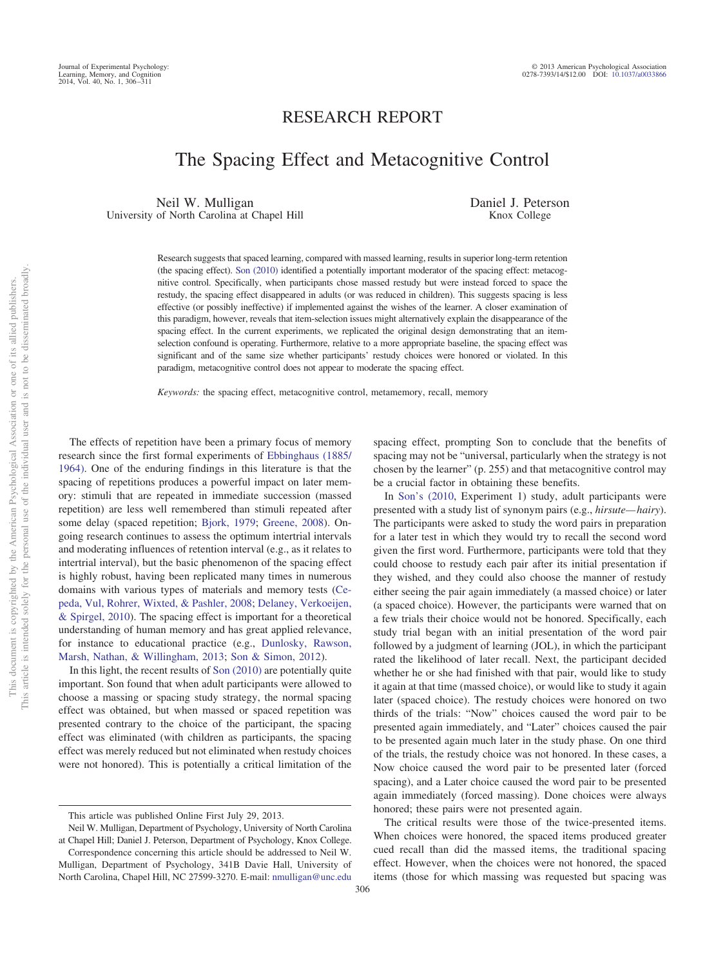## RESEARCH REPORT

# The Spacing Effect and Metacognitive Control

Neil W. Mulligan University of North Carolina at Chapel Hill Daniel J. Peterson Knox College

Research suggests that spaced learning, compared with massed learning, results in superior long-term retention (the spacing effect). [Son \(2010\)](#page-5-0) identified a potentially important moderator of the spacing effect: metacognitive control. Specifically, when participants chose massed restudy but were instead forced to space the restudy, the spacing effect disappeared in adults (or was reduced in children). This suggests spacing is less effective (or possibly ineffective) if implemented against the wishes of the learner. A closer examination of this paradigm, however, reveals that item-selection issues might alternatively explain the disappearance of the spacing effect. In the current experiments, we replicated the original design demonstrating that an itemselection confound is operating. Furthermore, relative to a more appropriate baseline, the spacing effect was significant and of the same size whether participants' restudy choices were honored or violated. In this paradigm, metacognitive control does not appear to moderate the spacing effect.

*Keywords:* the spacing effect, metacognitive control, metamemory, recall, memory

The effects of repetition have been a primary focus of memory research since the first formal experiments of [Ebbinghaus \(1885/](#page-5-1) [1964\).](#page-5-1) One of the enduring findings in this literature is that the spacing of repetitions produces a powerful impact on later memory: stimuli that are repeated in immediate succession (massed repetition) are less well remembered than stimuli repeated after some delay (spaced repetition; [Bjork, 1979;](#page-5-2) [Greene, 2008\)](#page-5-3). Ongoing research continues to assess the optimum intertrial intervals and moderating influences of retention interval (e.g., as it relates to intertrial interval), but the basic phenomenon of the spacing effect is highly robust, having been replicated many times in numerous domains with various types of materials and memory tests [\(Ce](#page-5-4)[peda, Vul, Rohrer, Wixted, & Pashler, 2008;](#page-5-4) [Delaney, Verkoeijen,](#page-5-5) [& Spirgel, 2010\)](#page-5-5). The spacing effect is important for a theoretical understanding of human memory and has great applied relevance, for instance to educational practice (e.g., [Dunlosky, Rawson,](#page-5-6) [Marsh, Nathan, & Willingham, 2013;](#page-5-6) [Son & Simon, 2012\)](#page-5-7).

In this light, the recent results of [Son \(2010\)](#page-5-0) are potentially quite important. Son found that when adult participants were allowed to choose a massing or spacing study strategy, the normal spacing effect was obtained, but when massed or spaced repetition was presented contrary to the choice of the participant, the spacing effect was eliminated (with children as participants, the spacing effect was merely reduced but not eliminated when restudy choices were not honored). This is potentially a critical limitation of the spacing effect, prompting Son to conclude that the benefits of spacing may not be "universal, particularly when the strategy is not chosen by the learner" (p. 255) and that metacognitive control may be a crucial factor in obtaining these benefits.

In [Son's \(2010,](#page-5-0) Experiment 1) study, adult participants were presented with a study list of synonym pairs (e.g., *hirsute— hairy*). The participants were asked to study the word pairs in preparation for a later test in which they would try to recall the second word given the first word. Furthermore, participants were told that they could choose to restudy each pair after its initial presentation if they wished, and they could also choose the manner of restudy either seeing the pair again immediately (a massed choice) or later (a spaced choice). However, the participants were warned that on a few trials their choice would not be honored. Specifically, each study trial began with an initial presentation of the word pair followed by a judgment of learning (JOL), in which the participant rated the likelihood of later recall. Next, the participant decided whether he or she had finished with that pair, would like to study it again at that time (massed choice), or would like to study it again later (spaced choice). The restudy choices were honored on two thirds of the trials: "Now" choices caused the word pair to be presented again immediately, and "Later" choices caused the pair to be presented again much later in the study phase. On one third of the trials, the restudy choice was not honored. In these cases, a Now choice caused the word pair to be presented later (forced spacing), and a Later choice caused the word pair to be presented again immediately (forced massing). Done choices were always honored; these pairs were not presented again.

The critical results were those of the twice-presented items. When choices were honored, the spaced items produced greater cued recall than did the massed items, the traditional spacing effect. However, when the choices were not honored, the spaced items (those for which massing was requested but spacing was

This article was published Online First July 29, 2013.

Neil W. Mulligan, Department of Psychology, University of North Carolina at Chapel Hill; Daniel J. Peterson, Department of Psychology, Knox College.

Correspondence concerning this article should be addressed to Neil W. Mulligan, Department of Psychology, 341B Davie Hall, University of North Carolina, Chapel Hill, NC 27599-3270. E-mail: [nmulligan@unc.edu](mailto:nmulligan@unc.edu)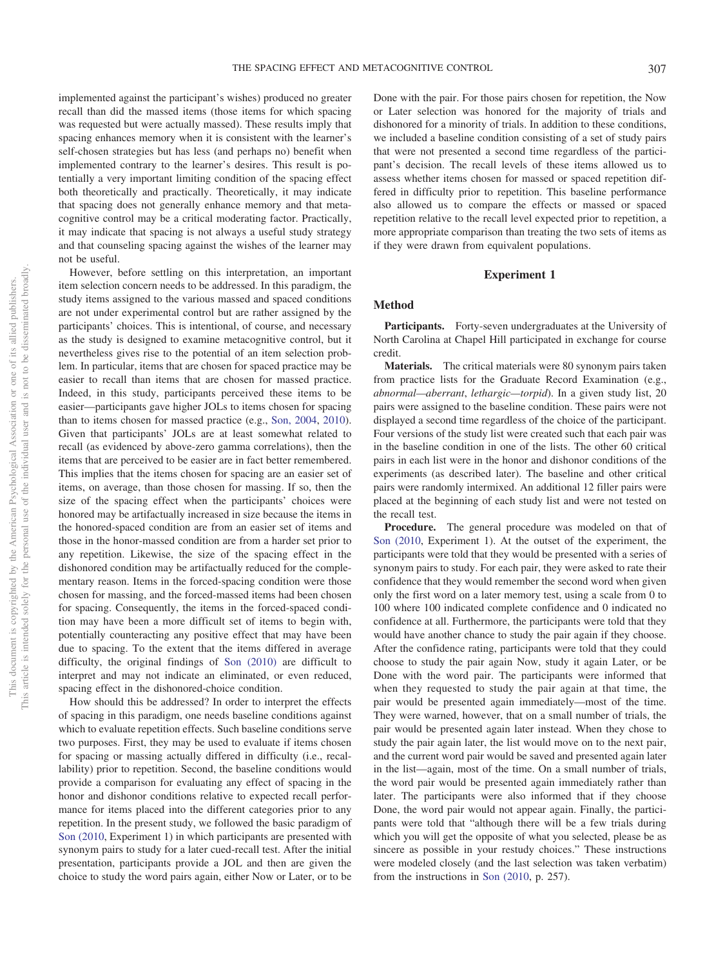implemented against the participant's wishes) produced no greater recall than did the massed items (those items for which spacing was requested but were actually massed). These results imply that spacing enhances memory when it is consistent with the learner's self-chosen strategies but has less (and perhaps no) benefit when implemented contrary to the learner's desires. This result is potentially a very important limiting condition of the spacing effect both theoretically and practically. Theoretically, it may indicate that spacing does not generally enhance memory and that metacognitive control may be a critical moderating factor. Practically, it may indicate that spacing is not always a useful study strategy and that counseling spacing against the wishes of the learner may not be useful.

However, before settling on this interpretation, an important item selection concern needs to be addressed. In this paradigm, the study items assigned to the various massed and spaced conditions are not under experimental control but are rather assigned by the participants' choices. This is intentional, of course, and necessary as the study is designed to examine metacognitive control, but it nevertheless gives rise to the potential of an item selection problem. In particular, items that are chosen for spaced practice may be easier to recall than items that are chosen for massed practice. Indeed, in this study, participants perceived these items to be easier—participants gave higher JOLs to items chosen for spacing than to items chosen for massed practice (e.g., [Son, 2004,](#page-5-8) [2010\)](#page-5-0). Given that participants' JOLs are at least somewhat related to recall (as evidenced by above-zero gamma correlations), then the items that are perceived to be easier are in fact better remembered. This implies that the items chosen for spacing are an easier set of items, on average, than those chosen for massing. If so, then the size of the spacing effect when the participants' choices were honored may be artifactually increased in size because the items in the honored-spaced condition are from an easier set of items and those in the honor-massed condition are from a harder set prior to any repetition. Likewise, the size of the spacing effect in the dishonored condition may be artifactually reduced for the complementary reason. Items in the forced-spacing condition were those chosen for massing, and the forced-massed items had been chosen for spacing. Consequently, the items in the forced-spaced condition may have been a more difficult set of items to begin with, potentially counteracting any positive effect that may have been due to spacing. To the extent that the items differed in average difficulty, the original findings of [Son \(2010\)](#page-5-0) are difficult to interpret and may not indicate an eliminated, or even reduced, spacing effect in the dishonored-choice condition.

How should this be addressed? In order to interpret the effects of spacing in this paradigm, one needs baseline conditions against which to evaluate repetition effects. Such baseline conditions serve two purposes. First, they may be used to evaluate if items chosen for spacing or massing actually differed in difficulty (i.e., recallability) prior to repetition. Second, the baseline conditions would provide a comparison for evaluating any effect of spacing in the honor and dishonor conditions relative to expected recall performance for items placed into the different categories prior to any repetition. In the present study, we followed the basic paradigm of [Son \(2010,](#page-5-0) Experiment 1) in which participants are presented with synonym pairs to study for a later cued-recall test. After the initial presentation, participants provide a JOL and then are given the choice to study the word pairs again, either Now or Later, or to be

Done with the pair. For those pairs chosen for repetition, the Now or Later selection was honored for the majority of trials and dishonored for a minority of trials. In addition to these conditions, we included a baseline condition consisting of a set of study pairs that were not presented a second time regardless of the participant's decision. The recall levels of these items allowed us to assess whether items chosen for massed or spaced repetition differed in difficulty prior to repetition. This baseline performance also allowed us to compare the effects or massed or spaced repetition relative to the recall level expected prior to repetition, a more appropriate comparison than treating the two sets of items as if they were drawn from equivalent populations.

#### **Experiment 1**

#### **Method**

Participants. Forty-seven undergraduates at the University of North Carolina at Chapel Hill participated in exchange for course credit.

**Materials.** The critical materials were 80 synonym pairs taken from practice lists for the Graduate Record Examination (e.g., *abnormal—aberrant*, *lethargic—torpid*). In a given study list, 20 pairs were assigned to the baseline condition. These pairs were not displayed a second time regardless of the choice of the participant. Four versions of the study list were created such that each pair was in the baseline condition in one of the lists. The other 60 critical pairs in each list were in the honor and dishonor conditions of the experiments (as described later). The baseline and other critical pairs were randomly intermixed. An additional 12 filler pairs were placed at the beginning of each study list and were not tested on the recall test.

**Procedure.** The general procedure was modeled on that of [Son \(2010,](#page-5-0) Experiment 1). At the outset of the experiment, the participants were told that they would be presented with a series of synonym pairs to study. For each pair, they were asked to rate their confidence that they would remember the second word when given only the first word on a later memory test, using a scale from 0 to 100 where 100 indicated complete confidence and 0 indicated no confidence at all. Furthermore, the participants were told that they would have another chance to study the pair again if they choose. After the confidence rating, participants were told that they could choose to study the pair again Now, study it again Later, or be Done with the word pair. The participants were informed that when they requested to study the pair again at that time, the pair would be presented again immediately—most of the time. They were warned, however, that on a small number of trials, the pair would be presented again later instead. When they chose to study the pair again later, the list would move on to the next pair, and the current word pair would be saved and presented again later in the list—again, most of the time. On a small number of trials, the word pair would be presented again immediately rather than later. The participants were also informed that if they choose Done, the word pair would not appear again. Finally, the participants were told that "although there will be a few trials during which you will get the opposite of what you selected, please be as sincere as possible in your restudy choices." These instructions were modeled closely (and the last selection was taken verbatim) from the instructions in [Son \(2010,](#page-5-0) p. 257).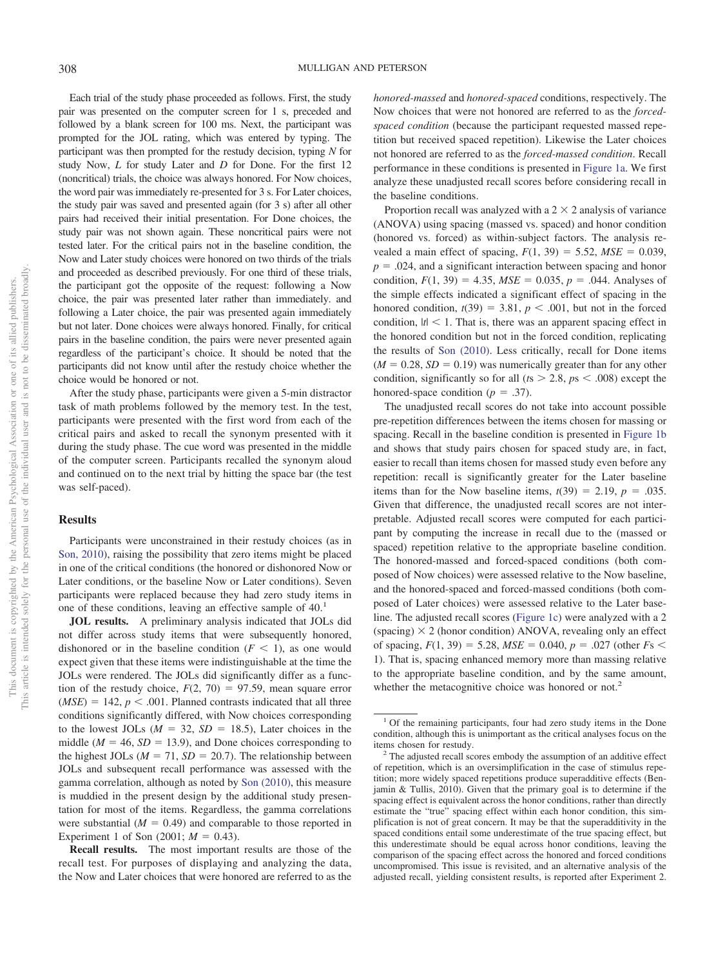Each trial of the study phase proceeded as follows. First, the study pair was presented on the computer screen for 1 s, preceded and followed by a blank screen for 100 ms. Next, the participant was prompted for the JOL rating, which was entered by typing. The participant was then prompted for the restudy decision, typing *N* for study Now, *L* for study Later and *D* for Done. For the first 12 (noncritical) trials, the choice was always honored. For Now choices, the word pair was immediately re-presented for 3 s. For Later choices, the study pair was saved and presented again (for 3 s) after all other pairs had received their initial presentation. For Done choices, the study pair was not shown again. These noncritical pairs were not tested later. For the critical pairs not in the baseline condition, the Now and Later study choices were honored on two thirds of the trials and proceeded as described previously. For one third of these trials, the participant got the opposite of the request: following a Now choice, the pair was presented later rather than immediately. and following a Later choice, the pair was presented again immediately but not later. Done choices were always honored. Finally, for critical pairs in the baseline condition, the pairs were never presented again regardless of the participant's choice. It should be noted that the participants did not know until after the restudy choice whether the choice would be honored or not.

After the study phase, participants were given a 5-min distractor task of math problems followed by the memory test. In the test, participants were presented with the first word from each of the critical pairs and asked to recall the synonym presented with it during the study phase. The cue word was presented in the middle of the computer screen. Participants recalled the synonym aloud and continued on to the next trial by hitting the space bar (the test was self-paced).

#### **Results**

Participants were unconstrained in their restudy choices (as in [Son, 2010\)](#page-5-0), raising the possibility that zero items might be placed in one of the critical conditions (the honored or dishonored Now or Later conditions, or the baseline Now or Later conditions). Seven participants were replaced because they had zero study items in one of these conditions, leaving an effective sample of 40.<sup>1</sup>

**JOL results.** A preliminary analysis indicated that JOLs did not differ across study items that were subsequently honored, dishonored or in the baseline condition  $(F \leq 1)$ , as one would expect given that these items were indistinguishable at the time the JOLs were rendered. The JOLs did significantly differ as a function of the restudy choice,  $F(2, 70) = 97.59$ , mean square error  $(MSE) = 142$ ,  $p < .001$ . Planned contrasts indicated that all three conditions significantly differed, with Now choices corresponding to the lowest JOLs  $(M = 32, SD = 18.5)$ , Later choices in the middle ( $M = 46$ ,  $SD = 13.9$ ), and Done choices corresponding to the highest JOLs ( $M = 71$ ,  $SD = 20.7$ ). The relationship between JOLs and subsequent recall performance was assessed with the gamma correlation, although as noted by [Son \(2010\),](#page-5-0) this measure is muddied in the present design by the additional study presentation for most of the items. Regardless, the gamma correlations were substantial  $(M = 0.49)$  and comparable to those reported in Experiment 1 of Son  $(2001; M = 0.43)$ .

**Recall results.** The most important results are those of the recall test. For purposes of displaying and analyzing the data, the Now and Later choices that were honored are referred to as the

*honored-massed* and *honored-spaced* conditions, respectively. The Now choices that were not honored are referred to as the *forcedspaced condition* (because the participant requested massed repetition but received spaced repetition). Likewise the Later choices not honored are referred to as the *forced-massed condition*. Recall performance in these conditions is presented in [Figure 1a.](#page-3-0) We first analyze these unadjusted recall scores before considering recall in the baseline conditions.

Proportion recall was analyzed with a  $2 \times 2$  analysis of variance (ANOVA) using spacing (massed vs. spaced) and honor condition (honored vs. forced) as within-subject factors. The analysis revealed a main effect of spacing,  $F(1, 39) = 5.52$ ,  $MSE = 0.039$ ,  $p = 0.024$ , and a significant interaction between spacing and honor condition,  $F(1, 39) = 4.35$ ,  $MSE = 0.035$ ,  $p = .044$ . Analyses of the simple effects indicated a significant effect of spacing in the honored condition,  $t(39) = 3.81$ ,  $p < .001$ , but not in the forced condition,  $|t|$  < 1. That is, there was an apparent spacing effect in the honored condition but not in the forced condition, replicating the results of [Son \(2010\).](#page-5-0) Less critically, recall for Done items  $(M = 0.28, SD = 0.19)$  was numerically greater than for any other condition, significantly so for all  $(ts > 2.8, ps < .008)$  except the honored-space condition ( $p = .37$ ).

The unadjusted recall scores do not take into account possible pre-repetition differences between the items chosen for massing or spacing. Recall in the baseline condition is presented in [Figure 1b](#page-3-0) and shows that study pairs chosen for spaced study are, in fact, easier to recall than items chosen for massed study even before any repetition: recall is significantly greater for the Later baseline items than for the Now baseline items,  $t(39) = 2.19$ ,  $p = .035$ . Given that difference, the unadjusted recall scores are not interpretable. Adjusted recall scores were computed for each participant by computing the increase in recall due to the (massed or spaced) repetition relative to the appropriate baseline condition. The honored-massed and forced-spaced conditions (both composed of Now choices) were assessed relative to the Now baseline, and the honored-spaced and forced-massed conditions (both composed of Later choices) were assessed relative to the Later baseline. The adjusted recall scores [\(Figure 1c\)](#page-3-0) were analyzed with a 2 (spacing)  $\times$  2 (honor condition) ANOVA, revealing only an effect of spacing,  $F(1, 39) = 5.28$ ,  $MSE = 0.040$ ,  $p = .027$  (other  $Fs <$ 1). That is, spacing enhanced memory more than massing relative to the appropriate baseline condition, and by the same amount, whether the metacognitive choice was honored or not.<sup>2</sup>

<sup>&</sup>lt;sup>1</sup> Of the remaining participants, four had zero study items in the Done condition, although this is unimportant as the critical analyses focus on the items chosen for restudy. <sup>2</sup> The adjusted recall scores embody the assumption of an additive effect

of repetition, which is an oversimplification in the case of stimulus repetition; more widely spaced repetitions produce superadditive effects (Benjamin & Tullis, 2010). Given that the primary goal is to determine if the spacing effect is equivalent across the honor conditions, rather than directly estimate the "true" spacing effect within each honor condition, this simplification is not of great concern. It may be that the superadditivity in the spaced conditions entail some underestimate of the true spacing effect, but this underestimate should be equal across honor conditions, leaving the comparison of the spacing effect across the honored and forced conditions uncompromised. This issue is revisited, and an alternative analysis of the adjusted recall, yielding consistent results, is reported after Experiment 2.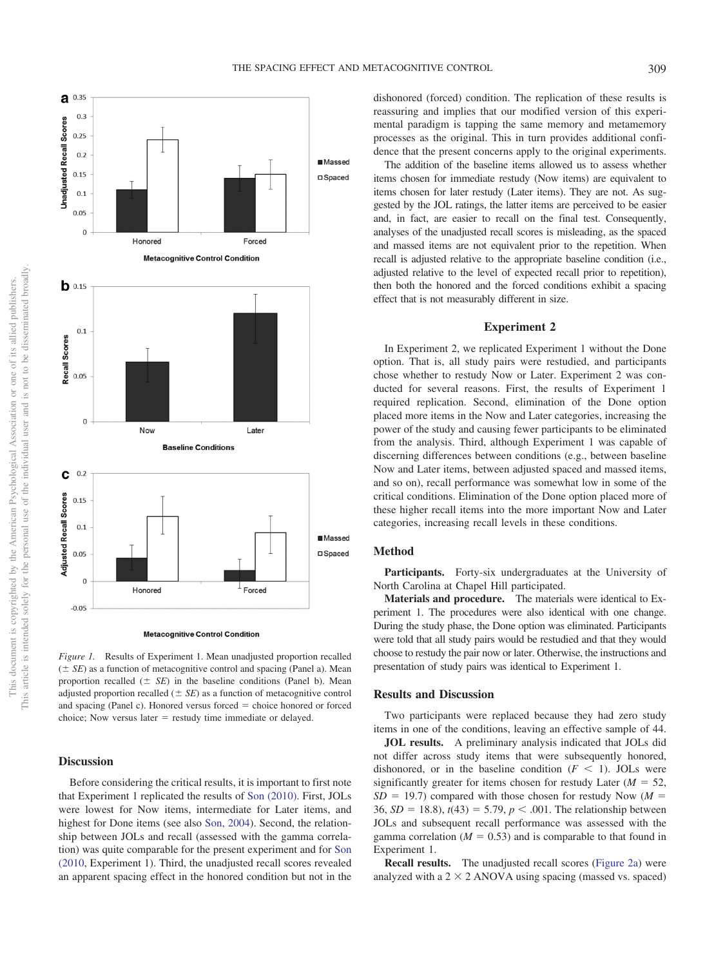

**Metacognitive Control Condition** 

<span id="page-3-0"></span>*Figure 1.* Results of Experiment 1. Mean unadjusted proportion recalled  $( \pm SE)$  as a function of metacognitive control and spacing (Panel a). Mean proportion recalled  $(\pm \ \text{SE})$  in the baseline conditions (Panel b). Mean adjusted proportion recalled  $(\pm \, SE)$  as a function of metacognitive control and spacing (Panel c). Honored versus forced = choice honored or forced choice; Now versus later  $=$  restudy time immediate or delayed.

### **Discussion**

Before considering the critical results, it is important to first note that Experiment 1 replicated the results of [Son \(2010\).](#page-5-0) First, JOLs were lowest for Now items, intermediate for Later items, and highest for Done items (see also [Son, 2004\)](#page-5-8). Second, the relationship between JOLs and recall (assessed with the gamma correlation) was quite comparable for the present experiment and for [Son](#page-5-0) [\(2010,](#page-5-0) Experiment 1). Third, the unadjusted recall scores revealed an apparent spacing effect in the honored condition but not in the dishonored (forced) condition. The replication of these results is reassuring and implies that our modified version of this experimental paradigm is tapping the same memory and metamemory processes as the original. This in turn provides additional confidence that the present concerns apply to the original experiments.

The addition of the baseline items allowed us to assess whether items chosen for immediate restudy (Now items) are equivalent to items chosen for later restudy (Later items). They are not. As suggested by the JOL ratings, the latter items are perceived to be easier and, in fact, are easier to recall on the final test. Consequently, analyses of the unadjusted recall scores is misleading, as the spaced and massed items are not equivalent prior to the repetition. When recall is adjusted relative to the appropriate baseline condition (i.e., adjusted relative to the level of expected recall prior to repetition), then both the honored and the forced conditions exhibit a spacing effect that is not measurably different in size.

#### **Experiment 2**

In Experiment 2, we replicated Experiment 1 without the Done option. That is, all study pairs were restudied, and participants chose whether to restudy Now or Later. Experiment 2 was conducted for several reasons. First, the results of Experiment 1 required replication. Second, elimination of the Done option placed more items in the Now and Later categories, increasing the power of the study and causing fewer participants to be eliminated from the analysis. Third, although Experiment 1 was capable of discerning differences between conditions (e.g., between baseline Now and Later items, between adjusted spaced and massed items, and so on), recall performance was somewhat low in some of the critical conditions. Elimination of the Done option placed more of these higher recall items into the more important Now and Later categories, increasing recall levels in these conditions.

#### **Method**

Participants. Forty-six undergraduates at the University of North Carolina at Chapel Hill participated.

**Materials and procedure.** The materials were identical to Experiment 1. The procedures were also identical with one change. During the study phase, the Done option was eliminated. Participants were told that all study pairs would be restudied and that they would choose to restudy the pair now or later. Otherwise, the instructions and presentation of study pairs was identical to Experiment 1.

#### **Results and Discussion**

Two participants were replaced because they had zero study items in one of the conditions, leaving an effective sample of 44.

**JOL results.** A preliminary analysis indicated that JOLs did not differ across study items that were subsequently honored, dishonored, or in the baseline condition  $(F \leq 1)$ . JOLs were significantly greater for items chosen for restudy Later  $(M = 52,$  $SD = 19.7$ ) compared with those chosen for restudy Now ( $M =$ 36,  $SD = 18.8$ ),  $t(43) = 5.79$ ,  $p < .001$ . The relationship between JOLs and subsequent recall performance was assessed with the gamma correlation  $(M = 0.53)$  and is comparable to that found in Experiment 1.

**Recall results.** The unadjusted recall scores [\(Figure 2a\)](#page-4-0) were analyzed with a  $2 \times 2$  ANOVA using spacing (massed vs. spaced)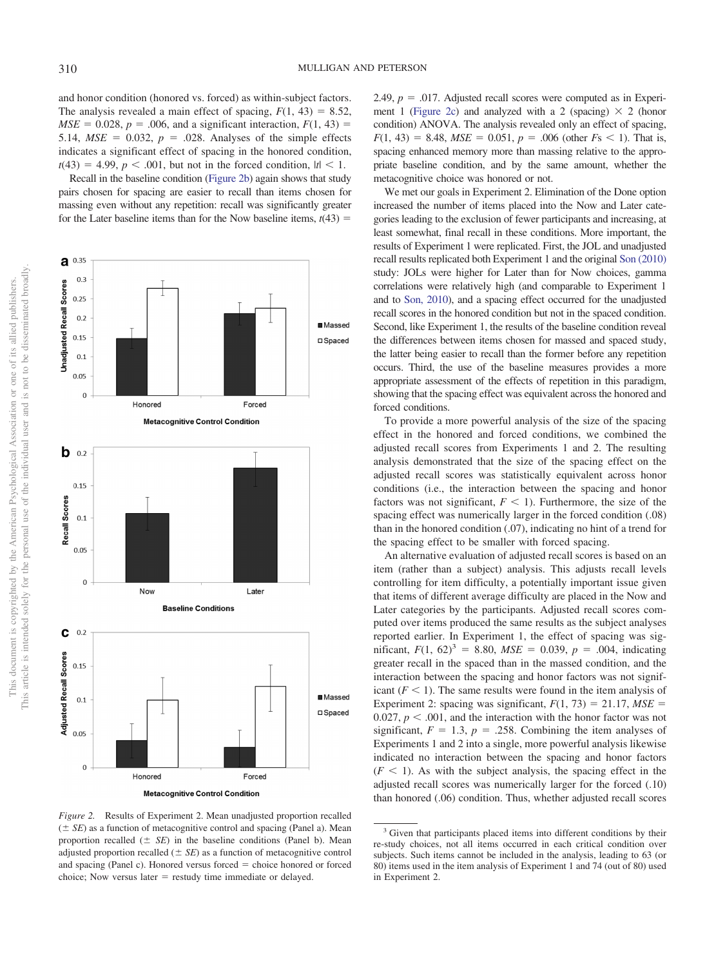and honor condition (honored vs. forced) as within-subject factors. The analysis revealed a main effect of spacing,  $F(1, 43) = 8.52$ ,  $MSE = 0.028$ ,  $p = .006$ , and a significant interaction,  $F(1, 43) =$ 5.14,  $MSE = 0.032$ ,  $p = .028$ . Analyses of the simple effects indicates a significant effect of spacing in the honored condition,  $t(43) = 4.99, p < .001$ , but not in the forced condition,  $|t| < 1$ .

Recall in the baseline condition [\(Figure 2b\)](#page-4-0) again shows that study pairs chosen for spacing are easier to recall than items chosen for massing even without any repetition: recall was significantly greater for the Later baseline items than for the Now baseline items,  $t(43)$  =



<span id="page-4-0"></span>*Figure 2.* Results of Experiment 2. Mean unadjusted proportion recalled  $( \pm SE)$  as a function of metacognitive control and spacing (Panel a). Mean proportion recalled  $(\pm \ \text{SE})$  in the baseline conditions (Panel b). Mean adjusted proportion recalled  $(\pm \, SE)$  as a function of metacognitive control and spacing (Panel c). Honored versus forced  $=$  choice honored or forced choice; Now versus later  $=$  restudy time immediate or delayed.

2.49,  $p = 0.017$ . Adjusted recall scores were computed as in Experi-ment 1 [\(Figure 2c\)](#page-4-0) and analyzed with a 2 (spacing)  $\times$  2 (honor condition) ANOVA. The analysis revealed only an effect of spacing,  $F(1, 43) = 8.48$ ,  $MSE = 0.051$ ,  $p = .006$  (other  $Fs < 1$ ). That is, spacing enhanced memory more than massing relative to the appropriate baseline condition, and by the same amount, whether the metacognitive choice was honored or not.

We met our goals in Experiment 2. Elimination of the Done option increased the number of items placed into the Now and Later categories leading to the exclusion of fewer participants and increasing, at least somewhat, final recall in these conditions. More important, the results of Experiment 1 were replicated. First, the JOL and unadjusted recall results replicated both Experiment 1 and the original [Son \(2010\)](#page-5-0) study: JOLs were higher for Later than for Now choices, gamma correlations were relatively high (and comparable to Experiment 1 and to [Son, 2010\)](#page-5-0), and a spacing effect occurred for the unadjusted recall scores in the honored condition but not in the spaced condition. Second, like Experiment 1, the results of the baseline condition reveal the differences between items chosen for massed and spaced study, the latter being easier to recall than the former before any repetition occurs. Third, the use of the baseline measures provides a more appropriate assessment of the effects of repetition in this paradigm, showing that the spacing effect was equivalent across the honored and forced conditions.

To provide a more powerful analysis of the size of the spacing effect in the honored and forced conditions, we combined the adjusted recall scores from Experiments 1 and 2. The resulting analysis demonstrated that the size of the spacing effect on the adjusted recall scores was statistically equivalent across honor conditions (i.e., the interaction between the spacing and honor factors was not significant,  $F < 1$ ). Furthermore, the size of the spacing effect was numerically larger in the forced condition (.08) than in the honored condition (.07), indicating no hint of a trend for the spacing effect to be smaller with forced spacing.

An alternative evaluation of adjusted recall scores is based on an item (rather than a subject) analysis. This adjusts recall levels controlling for item difficulty, a potentially important issue given that items of different average difficulty are placed in the Now and Later categories by the participants. Adjusted recall scores computed over items produced the same results as the subject analyses reported earlier. In Experiment 1, the effect of spacing was significant,  $F(1, 62)^3 = 8.80$ ,  $MSE = 0.039$ ,  $p = .004$ , indicating greater recall in the spaced than in the massed condition, and the interaction between the spacing and honor factors was not significant  $(F < 1)$ . The same results were found in the item analysis of Experiment 2: spacing was significant,  $F(1, 73) = 21.17$ ,  $MSE =$ 0.027,  $p < .001$ , and the interaction with the honor factor was not significant,  $F = 1.3$ ,  $p = .258$ . Combining the item analyses of Experiments 1 and 2 into a single, more powerful analysis likewise indicated no interaction between the spacing and honor factors  $(F \leq 1)$ . As with the subject analysis, the spacing effect in the adjusted recall scores was numerically larger for the forced (.10) than honored (.06) condition. Thus, whether adjusted recall scores

<sup>&</sup>lt;sup>3</sup> Given that participants placed items into different conditions by their re-study choices, not all items occurred in each critical condition over subjects. Such items cannot be included in the analysis, leading to 63 (or 80) items used in the item analysis of Experiment 1 and 74 (out of 80) used in Experiment 2.